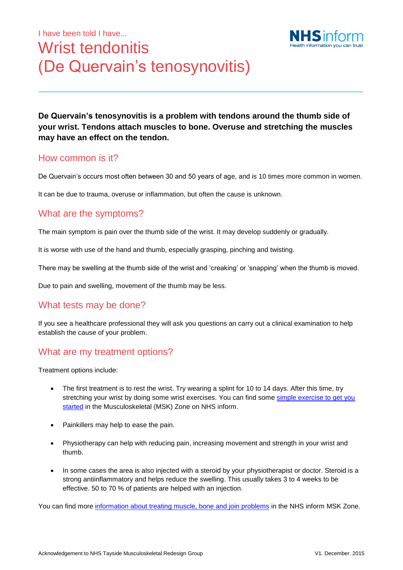# I have been told I have... Wrist tendonitis (De Quervain's tenosynovitis)



**De Quervain's tenosynovitis is a problem with tendons around the thumb side of your wrist. Tendons attach muscles to bone. Overuse and stretching the muscles may have an effect on the tendon.**

#### How common is it?

De Quervain's occurs most often between 30 and 50 years of age, and is 10 times more common in women.

It can be due to trauma, overuse or inflammation, but often the cause is unknown.

#### What are the symptoms?

The main symptom is pain over the thumb side of the wrist. It may develop suddenly or gradually.

It is worse with use of the hand and thumb, especially grasping, pinching and twisting.

There may be swelling at the thumb side of the wrist and 'creaking' or 'snapping' when the thumb is moved.

Due to pain and swelling, movement of the thumb may be less.

### What tests may be done?

If you see a healthcare professional they will ask you questions an carry out a clinical examination to help establish the cause of your problem.

#### What are my treatment options?

Treatment options include:

- The first treatment is to rest the wrist. Try wearing a splint for 10 to 14 days. After this time, try stretching your wrist by doing some wrist exercises. You can find some simple exercise to get you [started](http://www.nhsinform.co.uk/msk/upperbody/handwristfinger/physiovideo/) in the Musculoskeletal (MSK) Zone on NHS inform.
- Painkillers may help to ease the pain.
- Physiotherapy can help with reducing pain, increasing movement and strength in your wrist and thumb.
- In some cases the area is also injected with a steroid by your physiotherapist or doctor. Steroid is a strong antiinflammatory and helps reduce the swelling. This usually takes 3 to 4 weeks to be effective. 50 to 70 % of patients are helped with an injection.

You can find more information [about treating muscle, bone and join problems](http://www.nhsinform.co.uk/MSK/treatment) in the NHS inform MSK Zone.